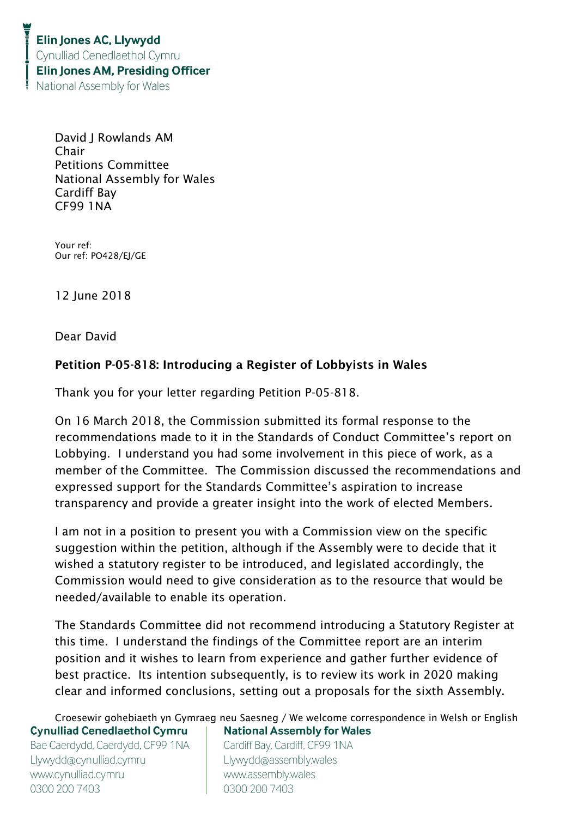David J Rowlands AM Chair Petitions Committee National Assembly for Wales Cardiff Bay CF99 1NA

Your ref: Our ref: PO428/EJ/GE

12 June 2018

Dear David

## Petition P-05-818: Introducing a Register of Lobbyists in Wales

Thank you for your letter regarding Petition P-05-818.

On 16 March 2018, the Commission submitted its formal response to the recommendations made to it in the Standards of Conduct Committee's report on Lobbying. I understand you had some involvement in this piece of work, as a member of the Committee. The Commission discussed the recommendations and expressed support for the Standards Committee's aspiration to increase transparency and provide a greater insight into the work of elected Members.

I am not in a position to present you with a Commission view on the specific suggestion within the petition, although if the Assembly were to decide that it wished a statutory register to be introduced, and legislated accordingly, the Commission would need to give consideration as to the resource that would be needed/available to enable its operation.

The Standards Committee did not recommend introducing a Statutory Register at this time. I understand the findings of the Committee report are an interim position and it wishes to learn from experience and gather further evidence of best practice. Its intention subsequently, is to review its work in 2020 making clear and informed conclusions, setting out a proposals for the sixth Assembly.

Croesewir gohebiaeth yn Gymraeg neu Saesneg / We welcome correspondence in Welsh or English **Cynulliad Cenedlaethol Cymru National Assembly for Wales** Bae Caerdydd, Caerdydd, CF99 1NA Cardiff Bay, Cardiff, CF99 1NA Llywydd@cynulliad.cymru Llywydd@assembly.wales www.cynulliad.cymru www.assembly.wales 0300 200 7403 0300 200 7403